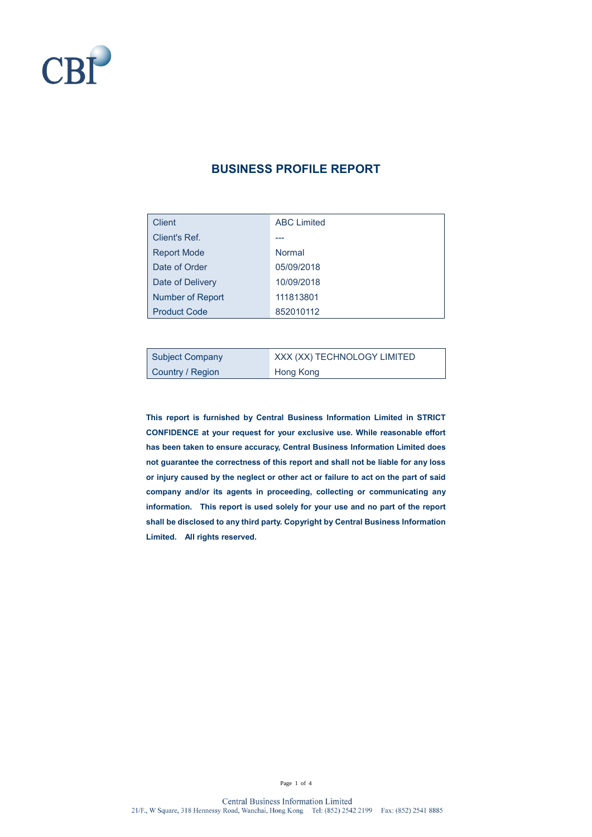

#### **BUSINESS PROFILE REPORT**

| Client              | <b>ABC Limited</b> |
|---------------------|--------------------|
| Client's Ref.       |                    |
| <b>Report Mode</b>  | Normal             |
| Date of Order       | 05/09/2018         |
| Date of Delivery    | 10/09/2018         |
| Number of Report    | 111813801          |
| <b>Product Code</b> | 852010112          |

| <b>Subject Company</b> | XXX (XX) TECHNOLOGY LIMITED |
|------------------------|-----------------------------|
| Country / Region       | Hong Kong                   |

**This report is furnished by Central Business Information Limited in STRICT CONFIDENCE at your request for your exclusive use. While reasonable effort has been taken to ensure accuracy, Central Business Information Limited does not guarantee the correctness of this report and shall not be liable for any loss or injury caused by the neglect or other act or failure to act on the part of said company and/or its agents in proceeding, collecting or communicating any information. This report is used solely for your use and no part of the report shall be disclosed to any third party. Copyright by Central Business Information Limited. All rights reserved.**

Page 1 of 4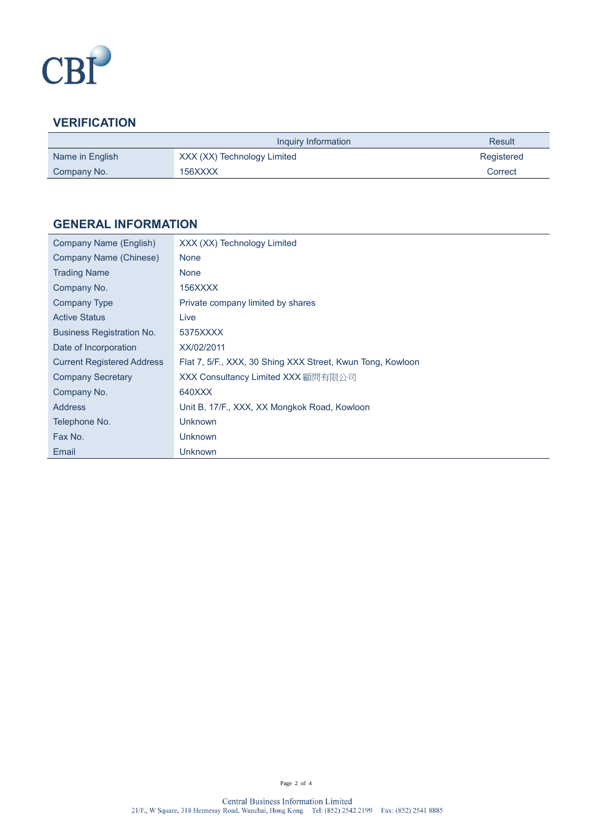

# **VERIFICATION**

|                 | Inquiry Information         | <b>Result</b> |
|-----------------|-----------------------------|---------------|
| Name in English | XXX (XX) Technology Limited | Registered    |
| Company No.     | 156XXXX                     | Correct       |

### **GENERAL INFORMATION**

| <b>None</b><br>Company Name (Chinese)                                                           |  |
|-------------------------------------------------------------------------------------------------|--|
|                                                                                                 |  |
| <b>Trading Name</b><br><b>None</b>                                                              |  |
| Company No.<br>156XXXX                                                                          |  |
| Private company limited by shares<br><b>Company Type</b>                                        |  |
| <b>Active Status</b><br>Live                                                                    |  |
| <b>Business Registration No.</b><br>5375XXXX                                                    |  |
| XX/02/2011<br>Date of Incorporation                                                             |  |
| <b>Current Registered Address</b><br>Flat 7, 5/F., XXX, 30 Shing XXX Street, Kwun Tong, Kowloon |  |
| <b>Company Secretary</b><br>XXX Consultancy Limited XXX 顧問有限公司                                  |  |
| 640XXX<br>Company No.                                                                           |  |
| Unit B, 17/F., XXX, XX Mongkok Road, Kowloon<br><b>Address</b>                                  |  |
| <b>Unknown</b><br>Telephone No.                                                                 |  |
| Fax No.<br><b>Unknown</b>                                                                       |  |
| Email<br>Unknown                                                                                |  |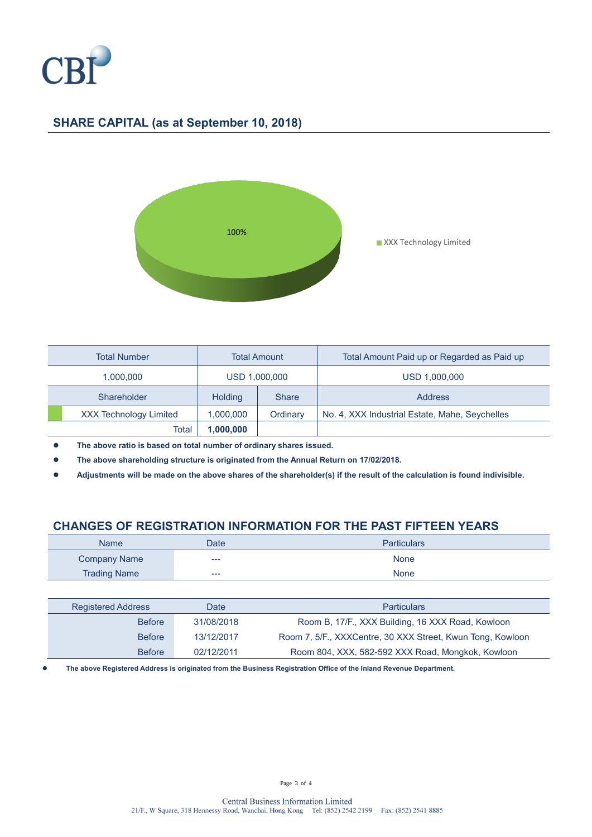

## **SHARE CAPITAL (as at September 10, 2018)**



| <b>Total Number</b>           | <b>Total Amount</b> |              | Total Amount Paid up or Regarded as Paid up    |
|-------------------------------|---------------------|--------------|------------------------------------------------|
| 1.000.000                     | USD 1,000,000       |              | USD 1,000,000                                  |
| Shareholder                   | <b>Holding</b>      | <b>Share</b> | Address                                        |
| <b>XXX Technology Limited</b> | 1,000,000           | Ordinary     | No. 4, XXX Industrial Estate, Mahe, Seychelles |
| Total                         | 1,000,000           |              |                                                |

⚫ **The above ratio is based on total number of ordinary shares issued.**

⚫ **The above shareholding structure is originated from the Annual Return on 17/02/2018.**

⚫ **Adjustments will be made on the above shares of the shareholder(s) if the result of the calculation is found indivisible.**

#### **CHANGES OF REGISTRATION INFORMATION FOR THE PAST FIFTEEN YEARS**

| <b>Name</b>         | Date | <b>Particulars</b> |
|---------------------|------|--------------------|
| <b>Company Name</b> | ---  | <b>None</b>        |
| <b>Trading Name</b> | ---  | <b>None</b>        |

| <b>Registered Address</b> | Date       | <b>Particulars</b>                                         |
|---------------------------|------------|------------------------------------------------------------|
| <b>Before</b>             | 31/08/2018 | Room B, 17/F., XXX Building, 16 XXX Road, Kowloon          |
| <b>Before</b>             | 13/12/2017 | Room 7, 5/F., XXXCentre, 30 XXX Street, Kwun Tong, Kowloon |
| <b>Before</b>             | 02/12/2011 | Room 804, XXX, 582-592 XXX Road, Mongkok, Kowloon          |

⚫ **The above Registered Address is originated from the Business Registration Office of the Inland Revenue Department.**